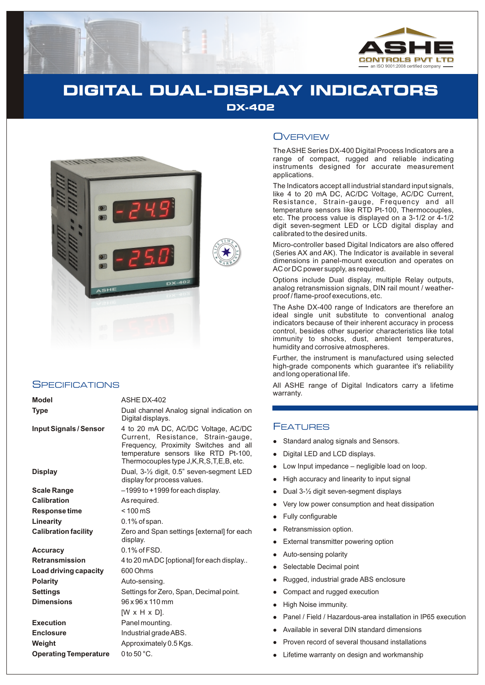

# **DIGITAL DUAL-DISPLAY INDICATORS DX-402**



#### **SPECIFICATIONS**

| <b>Model</b>                  | ASHE DX-402                                                                                                                                                                                                |
|-------------------------------|------------------------------------------------------------------------------------------------------------------------------------------------------------------------------------------------------------|
| <b>Type</b>                   | Dual channel Analog signal indication on<br>Digital displays.                                                                                                                                              |
| <b>Input Signals / Sensor</b> | 4 to 20 mA DC, AC/DC Voltage, AC/DC<br>Current, Resistance, Strain-gauge,<br>Frequency, Proximity Switches and all<br>temperature sensors like RTD Pt-100,<br>Thermocouples type J, K, R, S, T, E, B, etc. |
| <b>Display</b>                | Dual, $3-\frac{1}{2}$ digit, 0.5" seven-segment LED<br>display for process values.                                                                                                                         |
| Scale Range                   | -1999 to +1999 for each display.                                                                                                                                                                           |
| <b>Calibration</b>            | As required.                                                                                                                                                                                               |
| Response time                 | $< 100 \,\mathrm{mS}$                                                                                                                                                                                      |
| Linearity                     | $0.1\%$ of span.                                                                                                                                                                                           |
| <b>Calibration facility</b>   | Zero and Span settings [external] for each<br>display.                                                                                                                                                     |
| <b>Accuracy</b>               | $0.1\%$ of $FSD$ .                                                                                                                                                                                         |
| <b>Retransmission</b>         | 4 to 20 mADC [optional] for each display                                                                                                                                                                   |
| Load driving capacity         | 600 Ohms                                                                                                                                                                                                   |
| <b>Polarity</b>               | Auto-sensing.                                                                                                                                                                                              |
| <b>Settings</b>               | Settings for Zero, Span, Decimal point.                                                                                                                                                                    |
| <b>Dimensions</b>             | 96 x 96 x 110 mm                                                                                                                                                                                           |
|                               | $[W \times H \times D]$ .                                                                                                                                                                                  |
| <b>Execution</b>              | Panel mounting.                                                                                                                                                                                            |
| <b>Enclosure</b>              | Industrial grade ABS.                                                                                                                                                                                      |
| Weight                        | Approximately 0.5 Kgs.                                                                                                                                                                                     |
| <b>Operating Temperature</b>  | 0 to $50^{\circ}$ C.                                                                                                                                                                                       |

### **OVERVIEW**

The ASHE Series DX-400 Digital Process Indicators are a range of compact, rugged and reliable indicating instruments designed for accurate measurement applications.

The Indicators accept all industrial standard input signals, like 4 to 20 mA DC, AC/DC Voltage, AC/DC Current, Resistance, Strain-gauge, Frequency and all temperature sensors like RTD Pt-100, Thermocouples, etc. The process value is displayed on a 3-1/2 or 4-1/2 digit seven-segment LED or LCD digital display and calibrated to the desired units.

Micro-controller based Digital Indicators are also offered (Series AX and AK). The Indicator is available in several dimensions in panel-mount execution and operates on AC or DC power supply, as required.

Options include Dual display, multiple Relay outputs, analog retransmission signals, DIN rail mount / weatherproof / flame-proof executions, etc.

The Ashe DX-400 range of Indicators are therefore an ideal single unit substitute to conventional analog indicators because of their inherent accuracy in process control, besides other superior characteristics like total immunity to shocks, dust, ambient temperatures, humidity and corrosive atmospheres.

Further, the instrument is manufactured using selected high-grade components which guarantee it's reliability and long operational life.

All ASHE range of Digital Indicators carry a lifetime warranty.

### **FEATURES**

- Standard analog signals and Sensors.
- llllllllllllllllll Digital LED and LCD displays.
- Low Input impedance negligible load on loop.
- High accuracy and linearity to input signal
- Dual 3-½ digit seven-segment displays
- Very low power consumption and heat dissipation
- Fully configurable
- Retransmission option.
- External transmitter powering option
- Auto-sensing polarity
- Selectable Decimal point
- Rugged, industrial grade ABS enclosure
- Compact and rugged execution
- High Noise immunity.
- Panel / Field / Hazardous-area installation in IP65 execution
- Available in several DIN standard dimensions
- Proven record of several thousand installations
- Lifetime warranty on design and workmanship